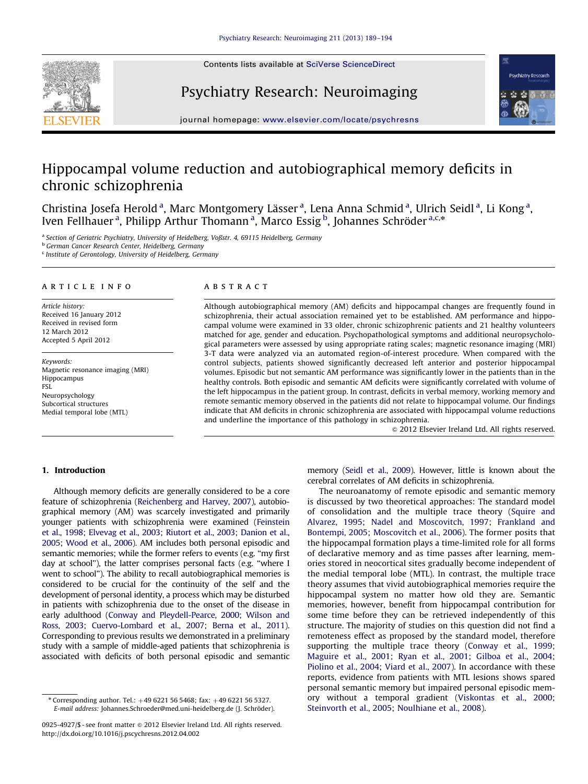

## Psychiatry Research: Neuroimaging



journal homepage: <www.elsevier.com/locate/psychresns>

## Hippocampal volume reduction and autobiographical memory deficits in chronic schizophrenia

Christina Josefa Herold<sup>a</sup>, Marc Montgomery Lässer<sup>a</sup>, Lena Anna Schmid<sup>a</sup>, Ulrich Seidl<sup>a</sup>, Li Kong<sup>a</sup>, Iven Fellhauer<sup>a</sup>, Philipp Arthur Thomann<sup>a</sup>, Marco Essig<sup>b</sup>, Johannes Schröder<sup>a,c,\*</sup>

a Section of Geriatric Psychiatry, University of Heidelberg, Voßstr. 4, 69115 Heidelberg, Germany

**b German Cancer Research Center, Heidelberg, Germany** 

<sup>c</sup> Institute of Gerontology, University of Heidelberg, Germany

#### article info

Article history: Received 16 January 2012 Received in revised form 12 March 2012 Accepted 5 April 2012

Keywords: Magnetic resonance imaging (MRI) Hippocampus FSL Neuropsychology Subcortical structures Medial temporal lobe (MTL)

#### **ABSTRACT**

Although autobiographical memory (AM) deficits and hippocampal changes are frequently found in schizophrenia, their actual association remained yet to be established. AM performance and hippocampal volume were examined in 33 older, chronic schizophrenic patients and 21 healthy volunteers matched for age, gender and education. Psychopathological symptoms and additional neuropsychological parameters were assessed by using appropriate rating scales; magnetic resonance imaging (MRI) 3-T data were analyzed via an automated region-of-interest procedure. When compared with the control subjects, patients showed significantly decreased left anterior and posterior hippocampal volumes. Episodic but not semantic AM performance was significantly lower in the patients than in the healthy controls. Both episodic and semantic AM deficits were significantly correlated with volume of the left hippocampus in the patient group. In contrast, deficits in verbal memory, working memory and remote semantic memory observed in the patients did not relate to hippocampal volume. Our findings indicate that AM deficits in chronic schizophrenia are associated with hippocampal volume reductions and underline the importance of this pathology in schizophrenia.

 $©$  2012 Elsevier Ireland Ltd. All rights reserved.

### 1. Introduction

Although memory deficits are generally considered to be a core feature of schizophrenia [\(Reichenberg and Harvey, 2007\)](#page--1-0), autobiographical memory (AM) was scarcely investigated and primarily younger patients with schizophrenia were examined [\(Feinstein](#page--1-0) [et al., 1998](#page--1-0); [Elvevag et al., 2003](#page--1-0); [Riutort et al., 2003](#page--1-0); [Danion et al.,](#page--1-0) [2005](#page--1-0); [Wood et al., 2006](#page--1-0)). AM includes both personal episodic and semantic memories; while the former refers to events (e.g. ''my first day at school''), the latter comprises personal facts (e.g. ''where I went to school''). The ability to recall autobiographical memories is considered to be crucial for the continuity of the self and the development of personal identity, a process which may be disturbed in patients with schizophrenia due to the onset of the disease in early adulthood [\(Conway and Pleydell-Pearce, 2000](#page--1-0); [Wilson and](#page--1-0) [Ross, 2003;](#page--1-0) [Cuervo-Lombard et al., 2007;](#page--1-0) [Berna et al., 2011\)](#page--1-0). Corresponding to previous results we demonstrated in a preliminary study with a sample of middle-aged patients that schizophrenia is associated with deficits of both personal episodic and semantic memory [\(Seidl et al., 2009\)](#page--1-0). However, little is known about the cerebral correlates of AM deficits in schizophrenia.

The neuroanatomy of remote episodic and semantic memory is discussed by two theoretical approaches: The standard model of consolidation and the multiple trace theory [\(Squire and](#page--1-0) [Alvarez, 1995](#page--1-0); [Nadel and Moscovitch, 1997](#page--1-0); [Frankland and](#page--1-0) [Bontempi, 2005;](#page--1-0) [Moscovitch et al., 2006\)](#page--1-0). The former posits that the hippocampal formation plays a time-limited role for all forms of declarative memory and as time passes after learning, memories stored in neocortical sites gradually become independent of the medial temporal lobe (MTL). In contrast, the multiple trace theory assumes that vivid autobiographical memories require the hippocampal system no matter how old they are. Semantic memories, however, benefit from hippocampal contribution for some time before they can be retrieved independently of this structure. The majority of studies on this question did not find a remoteness effect as proposed by the standard model, therefore supporting the multiple trace theory [\(Conway et al., 1999;](#page--1-0) [Maguire et al., 2001;](#page--1-0) [Ryan et al., 2001;](#page--1-0) [Gilboa et al., 2004;](#page--1-0) [Piolino et al., 2004](#page--1-0); [Viard et al., 2007](#page--1-0)). In accordance with these reports, evidence from patients with MTL lesions shows spared personal semantic memory but impaired personal episodic memory without a temporal gradient [\(Viskontas et al., 2000;](#page--1-0) [Steinvorth et al., 2005;](#page--1-0) [Noulhiane et al., 2008\)](#page--1-0).

<sup>\*</sup> Corresponding author. Tel.:  $+496221565468$ ; fax:  $+496221565327$ . E-mail address: Johannes.Schroeder@med.uni-heidelberg.de (J. Schroder). ¨

<sup>0925-4927/\$ -</sup> see front matter @ 2012 Elsevier Ireland Ltd. All rights reserved. [http://dx.doi.org/10.1016/j.pscychresns.2012.04.002](dx.doi.org/10.1016/j.pscychresns.2012.04.002)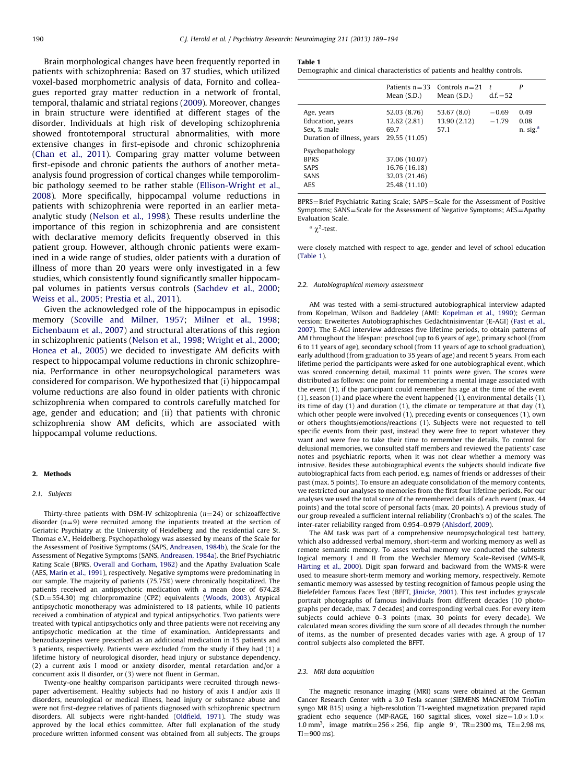Brain morphological changes have been frequently reported in patients with schizophrenia: Based on 37 studies, which utilized voxel-based morphometric analysis of data, Fornito and colleagues reported gray matter reduction in a network of frontal, temporal, thalamic and striatal regions ([2009\)](#page--1-0). Moreover, changes in brain structure were identified at different stages of the disorder. Individuals at high risk of developing schizophrenia showed frontotemporal structural abnormalities, with more extensive changes in first-episode and chronic schizophrenia ([Chan et al., 2011\)](#page--1-0). Comparing gray matter volume between first-episode and chronic patients the authors of another metaanalysis found progression of cortical changes while temporolimbic pathology seemed to be rather stable ([Ellison-Wright et al.,](#page--1-0) [2008\)](#page--1-0). More specifically, hippocampal volume reductions in patients with schizophrenia were reported in an earlier metaanalytic study [\(Nelson et al., 1998](#page--1-0)). These results underline the importance of this region in schizophrenia and are consistent with declarative memory deficits frequently observed in this patient group. However, although chronic patients were examined in a wide range of studies, older patients with a duration of illness of more than 20 years were only investigated in a few studies, which consistently found significantly smaller hippocampal volumes in patients versus controls ([Sachdev et al., 2000;](#page--1-0) [Weiss et al., 2005](#page--1-0); [Prestia et al., 2011\)](#page--1-0).

Given the acknowledged role of the hippocampus in episodic memory [\(Scoville and Milner, 1957;](#page--1-0) [Milner et al., 1998;](#page--1-0) [Eichenbaum et al., 2007\)](#page--1-0) and structural alterations of this region in schizophrenic patients [\(Nelson et al., 1998;](#page--1-0) [Wright et al., 2000;](#page--1-0) [Honea et al., 2005\)](#page--1-0) we decided to investigate AM deficits with respect to hippocampal volume reductions in chronic schizophrenia. Performance in other neuropsychological parameters was considered for comparison. We hypothesized that (i) hippocampal volume reductions are also found in older patients with chronic schizophrenia when compared to controls carefully matched for age, gender and education; and (ii) that patients with chronic schizophrenia show AM deficits, which are associated with hippocampal volume reductions.

#### 2. Methods

#### 2.1. Subjects

Thirty-three patients with DSM-IV schizophrenia ( $n=24$ ) or schizoaffective disorder  $(n=9)$  were recruited among the inpatients treated at the section of Geriatric Psychiatry at the University of Heidelberg and the residential care St. Thomas e.V., Heidelberg. Psychopathology was assessed by means of the Scale for the Assessment of Positive Symptoms (SAPS, [Andreasen, 1984b\)](#page--1-0), the Scale for the Assessment of Negative Symptoms (SANS, [Andreasen, 1984a](#page--1-0)), the Brief Psychiatric Rating Scale (BPRS, [Overall and Gorham, 1962](#page--1-0)) and the Apathy Evaluation Scale (AES, [Marin et al., 1991](#page--1-0)), respectively. Negative symptoms were predominating in our sample. The majority of patients (75.75%) were chronically hospitalized. The patients received an antipsychotic medication with a mean dose of 674.28 (S.D. = 554.30) mg chlorpromazine (CPZ) equivalents ([Woods, 2003\)](#page--1-0). Atypical antipsychotic monotherapy was administered to 18 patients, while 10 patients received a combination of atypical and typical antipsychotics. Two patients were treated with typical antipsychotics only and three patients were not receiving any antipsychotic medication at the time of examination. Antidepressants and benzodiazepines were prescribed as an additional medication in 15 patients and 3 patients, respectively. Patients were excluded from the study if they had (1) a lifetime history of neurological disorder, head injury or substance dependency, (2) a current axis I mood or anxiety disorder, mental retardation and/or a concurrent axis II disorder, or (3) were not fluent in German.

Twenty-one healthy comparison participants were recruited through newspaper advertisement. Healthy subjects had no history of axis I and/or axis II disorders, neurological or medical illness, head injury or substance abuse and were not first-degree relatives of patients diagnosed with schizophrenic spectrum disorders. All subjects were right-handed ([Oldfield, 1971\)](#page--1-0). The study was approved by the local ethics committee. After full explanation of the study procedure written informed consent was obtained from all subjects. The groups

#### Table 1

Demographic and clinical characteristics of patients and healthy controls.

|                                                                                                | Mean $(S.D.)$                                                    | Patients $n=33$ Controls $n=21$<br>Mean $(S.D.)$ | $\mathbf{r}$<br>$d.f. = 52$ | P                                    |
|------------------------------------------------------------------------------------------------|------------------------------------------------------------------|--------------------------------------------------|-----------------------------|--------------------------------------|
| Age, years<br>Education, years<br>Sex. % male<br>Duration of illness, years<br>Psychopathology | 52.03 (8.76)<br>12.62 (2.81)<br>69.7<br>29.55 (11.05)            | 53.67 (8.0)<br>13.90 (2.12)<br>57.1              | $-0.69$<br>$-1.79$          | 0.49<br>0.08<br>n. sig. <sup>a</sup> |
| <b>BPRS</b><br>SAPS<br><b>SANS</b><br><b>AES</b>                                               | 37.06 (10.07)<br>16.76 (16.18)<br>32.03 (21.46)<br>25.48 (11.10) |                                                  |                             |                                      |

BPRS=Brief Psychiatric Rating Scale; SAPS=Scale for the Assessment of Positive Symptoms; SANS=Scale for the Assessment of Negative Symptoms; AES=Apathy Evaluation Scale.

 $\alpha$ <sup>2</sup>-test.

were closely matched with respect to age, gender and level of school education (Table 1).

#### 2.2. Autobiographical memory assessment

AM was tested with a semi-structured autobiographical interview adapted from Kopelman, Wilson and Baddeley (AMI: [Kopelman et al., 1990](#page--1-0)); German version: Erweitertes Autobiographisches Gedächtnisinventar (E-AGI) ([Fast et al.,](#page--1-0) [2007](#page--1-0)). The E-AGI interview addresses five lifetime periods, to obtain patterns of AM throughout the lifespan: preschool (up to 6 years of age), primary school (from 6 to 11 years of age), secondary school (from 11 years of age to school graduation), early adulthood (from graduation to 35 years of age) and recent 5 years. From each lifetime period the participants were asked for one autobiographical event, which was scored concerning detail, maximal 11 points were given. The scores were distributed as follows: one point for remembering a mental image associated with the event (1), if the participant could remember his age at the time of the event  $(1)$ , season  $(1)$  and place where the event happened  $(1)$ , environmental details  $(1)$ , its time of day (1) and duration (1), the climate or temperature at that day (1), which other people were involved (1), preceding events or consequences (1), own or others thoughts/emotions/reactions (1). Subjects were not requested to tell specific events from their past, instead they were free to report whatever they want and were free to take their time to remember the details. To control for delusional memories, we consulted staff members and reviewed the patients' case notes and psychiatric reports, when it was not clear whether a memory was intrusive. Besides these autobiographical events the subjects should indicate five autobiographical facts from each period, e.g. names of friends or addresses of their past (max. 5 points). To ensure an adequate consolidation of the memory contents, we restricted our analyses to memories from the first four lifetime periods. For our analyses we used the total score of the remembered details of each event (max. 44 points) and the total score of personal facts (max. 20 points). A previous study of our group revealed a sufficient internal reliability (Cronbach's  $\alpha$ ) of the scales. The inter-rater reliability ranged from 0.954–0.979 ([Ahlsdorf, 2009\)](#page--1-0).

The AM task was part of a comprehensive neuropsychological test battery, which also addressed verbal memory, short-term and working memory as well as remote semantic memory. To asses verbal memory we conducted the subtests logical memory I and II from the Wechsler Memory Scale-Revised (WMS-R, Härting et al., 2000). Digit span forward and backward from the WMS-R were used to measure short-term memory and working memory, respectively. Remote semantic memory was assessed by testing recognition of famous people using the Bielefelder Famous Faces Test (BFFT, Jänicke, 2001). This test includes grayscale portrait photographs of famous individuals from different decades (10 photographs per decade, max. 7 decades) and corresponding verbal cues. For every item subjects could achieve 0–3 points (max. 30 points for every decade). We calculated mean scores dividing the sum score of all decades through the number of items, as the number of presented decades varies with age. A group of 17 control subjects also completed the BFFT.

#### 2.3. MRI data acquisition

The magnetic resonance imaging (MRI) scans were obtained at the German Cancer Research Center with a 3.0 Tesla scanner (SIEMENS MAGNETOM TrioTim syngo MR B15) using a high-resolution T1-weighted magnetization prepared rapid gradient echo sequence (MP-RAGE, 160 sagittal slices, voxel size= $1.0 \times 1.0 \times$ 1.0 mm<sup>3</sup>, image matrix =  $256 \times 256$ , flip angle 9°, TR = 2300 ms, TE = 2.98 ms,  $TI = 900$  ms).